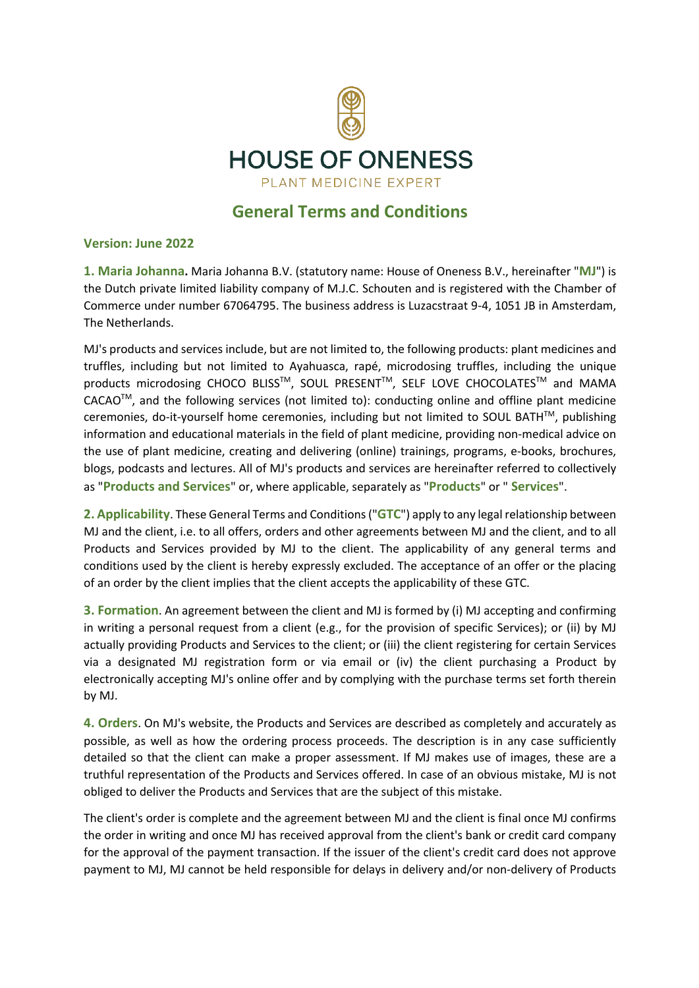

## **General Terms and Conditions**

## **Version: June 2022**

**1. Maria Johanna.** Maria Johanna B.V. (statutory name: House of Oneness B.V., hereinafter "**MJ**") is the Dutch private limited liability company of M.J.C. Schouten and is registered with the Chamber of Commerce under number 67064795. The business address is Luzacstraat 9-4, 1051 JB in Amsterdam, The Netherlands.

MJ's products and services include, but are not limited to, the following products: plant medicines and truffles, including but not limited to Ayahuasca, rapé, microdosing truffles, including the unique products microdosing CHOCO BLISS™, SOUL PRESENT™, SELF LOVE CHOCOLATES™ and MAMA CACAOTM, and the following services (not limited to): conducting online and offline plant medicine ceremonies, do-it-yourself home ceremonies, including but not limited to SOUL BATH<sup>™</sup>, publishing information and educational materials in the field of plant medicine, providing non-medical advice on the use of plant medicine, creating and delivering (online) trainings, programs, e-books, brochures, blogs, podcasts and lectures. All of MJ's products and services are hereinafter referred to collectively as "**Products and Services**" or, where applicable, separately as "**Products**" or " **Services**".

**2. Applicability**. These General Terms and Conditions ("**GTC**") apply to any legal relationship between MJ and the client, i.e. to all offers, orders and other agreements between MJ and the client, and to all Products and Services provided by MJ to the client. The applicability of any general terms and conditions used by the client is hereby expressly excluded. The acceptance of an offer or the placing of an order by the client implies that the client accepts the applicability of these GTC.

**3. Formation**. An agreement between the client and MJ is formed by (i) MJ accepting and confirming in writing a personal request from a client (e.g., for the provision of specific Services); or (ii) by MJ actually providing Products and Services to the client; or (iii) the client registering for certain Services via a designated MJ registration form or via email or (iv) the client purchasing a Product by electronically accepting MJ's online offer and by complying with the purchase terms set forth therein by MJ.

**4. Orders**. On MJ's website, the Products and Services are described as completely and accurately as possible, as well as how the ordering process proceeds. The description is in any case sufficiently detailed so that the client can make a proper assessment. If MJ makes use of images, these are a truthful representation of the Products and Services offered. In case of an obvious mistake, MJ is not obliged to deliver the Products and Services that are the subject of this mistake.

The client's order is complete and the agreement between MJ and the client is final once MJ confirms the order in writing and once MJ has received approval from the client's bank or credit card company for the approval of the payment transaction. If the issuer of the client's credit card does not approve payment to MJ, MJ cannot be held responsible for delays in delivery and/or non-delivery of Products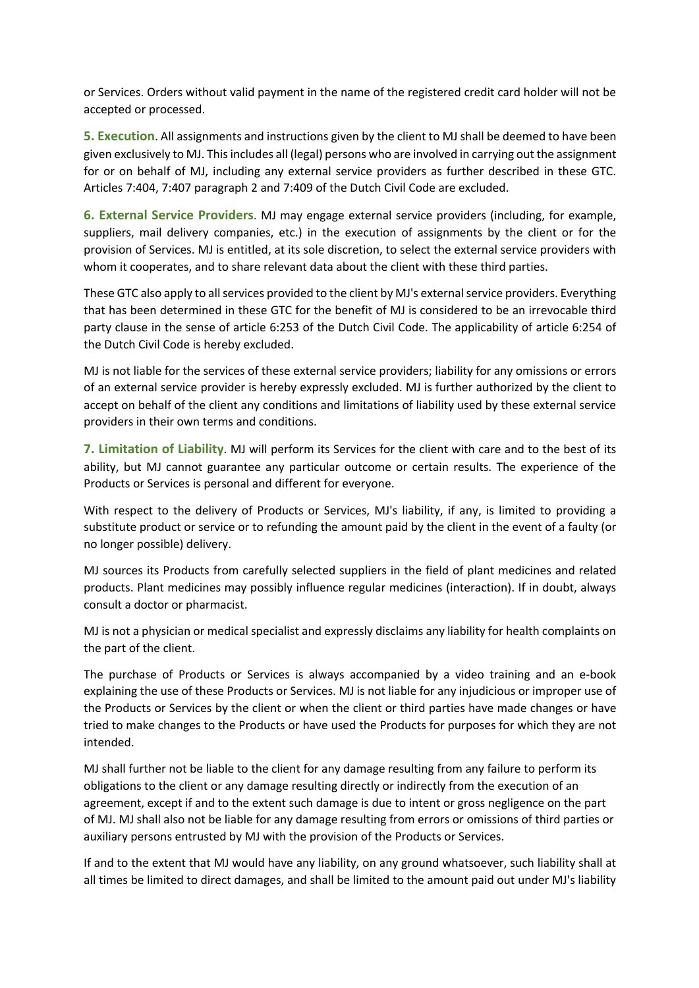or Services. Orders without valid payment in the name of the registered credit card holder will not be accepted or processed.

**5. Execution**. All assignments and instructions given by the client to MJ shall be deemed to have been given exclusively to MJ. This includes all (legal) persons who are involved in carrying out the assignment for or on behalf of MJ, including any external service providers as further described in these GTC. Articles 7:404, 7:407 paragraph 2 and 7:409 of the Dutch Civil Code are excluded.

**6. External Service Providers**. MJ may engage external service providers (including, for example, suppliers, mail delivery companies, etc.) in the execution of assignments by the client or for the provision of Services. MJ is entitled, at its sole discretion, to select the external service providers with whom it cooperates, and to share relevant data about the client with these third parties.

These GTC also apply to all services provided to the client by MJ's external service providers. Everything that has been determined in these GTC for the benefit of MJ is considered to be an irrevocable third party clause in the sense of article 6:253 of the Dutch Civil Code. The applicability of article 6:254 of the Dutch Civil Code is hereby excluded.

MJ is not liable for the services of these external service providers; liability for any omissions or errors of an external service provider is hereby expressly excluded. MJ is further authorized by the client to accept on behalf of the client any conditions and limitations of liability used by these external service providers in their own terms and conditions.

**7. Limitation of Liability**. MJ will perform its Services for the client with care and to the best of its ability, but MJ cannot guarantee any particular outcome or certain results. The experience of the Products or Services is personal and different for everyone.

With respect to the delivery of Products or Services, MJ's liability, if any, is limited to providing a substitute product or service or to refunding the amount paid by the client in the event of a faulty (or no longer possible) delivery.

MJ sources its Products from carefully selected suppliers in the field of plant medicines and related products. Plant medicines may possibly influence regular medicines (interaction). If in doubt, always consult a doctor or pharmacist.

MJ is not a physician or medical specialist and expressly disclaims any liability for health complaints on the part of the client.

The purchase of Products or Services is always accompanied by a video training and an e-book explaining the use of these Products or Services. MJ is not liable for any injudicious or improper use of the Products or Services by the client or when the client or third parties have made changes or have tried to make changes to the Products or have used the Products for purposes for which they are not intended.

MJ shall further not be liable to the client for any damage resulting from any failure to perform its obligations to the client or any damage resulting directly or indirectly from the execution of an agreement, except if and to the extent such damage is due to intent or gross negligence on the part of MJ. MJ shall also not be liable for any damage resulting from errors or omissions of third parties or auxiliary persons entrusted by MJ with the provision of the Products or Services.

If and to the extent that MJ would have any liability, on any ground whatsoever, such liability shall at all times be limited to direct damages, and shall be limited to the amount paid out under MJ's liability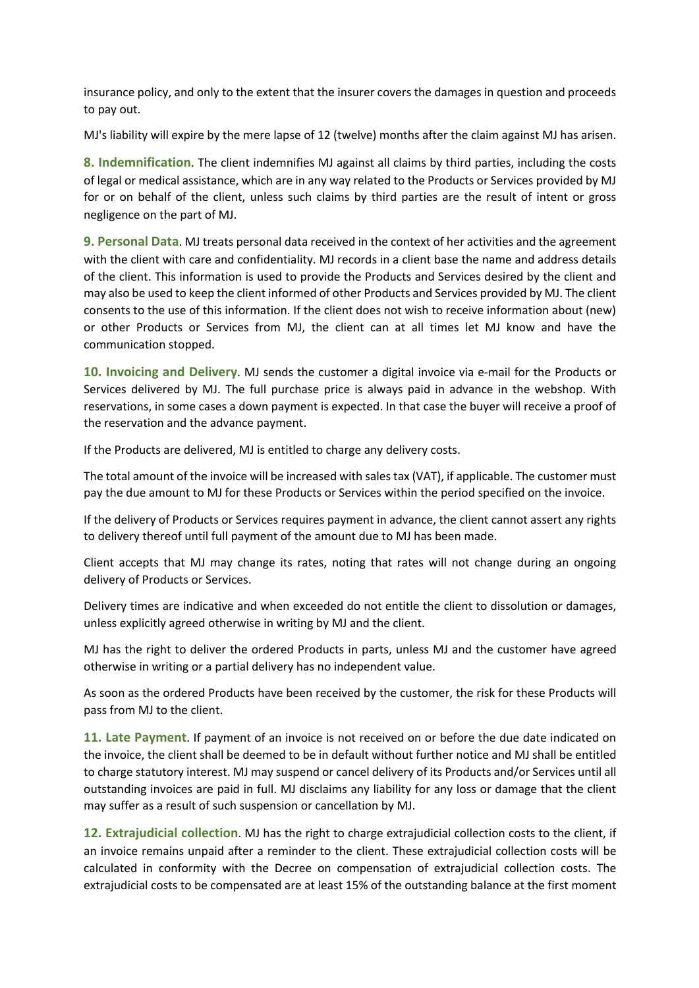insurance policy, and only to the extent that the insurer covers the damages in question and proceeds to pay out.

MJ's liability will expire by the mere lapse of 12 (twelve) months after the claim against MJ has arisen.

**8. Indemnification**. The client indemnifies MJ against all claims by third parties, including the costs of legal or medical assistance, which are in any way related to the Products or Services provided by MJ for or on behalf of the client, unless such claims by third parties are the result of intent or gross negligence on the part of MJ.

**9. Personal Data**. MJ treats personal data received in the context of her activities and the agreement with the client with care and confidentiality. MJ records in a client base the name and address details of the client. This information is used to provide the Products and Services desired by the client and may also be used to keep the client informed of other Products and Services provided by MJ. The client consents to the use of this information. If the client does not wish to receive information about (new) or other Products or Services from MJ, the client can at all times let MJ know and have the communication stopped.

**10. Invoicing and Delivery**. MJ sends the customer a digital invoice via e-mail for the Products or Services delivered by MJ. The full purchase price is always paid in advance in the webshop. With reservations, in some cases a down payment is expected. In that case the buyer will receive a proof of the reservation and the advance payment.

If the Products are delivered, MJ is entitled to charge any delivery costs.

The total amount of the invoice will be increased with sales tax (VAT), if applicable. The customer must pay the due amount to MJ for these Products or Services within the period specified on the invoice.

If the delivery of Products or Services requires payment in advance, the client cannot assert any rights to delivery thereof until full payment of the amount due to MJ has been made.

Client accepts that MJ may change its rates, noting that rates will not change during an ongoing delivery of Products or Services.

Delivery times are indicative and when exceeded do not entitle the client to dissolution or damages, unless explicitly agreed otherwise in writing by MJ and the client.

MJ has the right to deliver the ordered Products in parts, unless MJ and the customer have agreed otherwise in writing or a partial delivery has no independent value.

As soon as the ordered Products have been received by the customer, the risk for these Products will pass from MJ to the client.

**11. Late Payment**. If payment of an invoice is not received on or before the due date indicated on the invoice, the client shall be deemed to be in default without further notice and MJ shall be entitled to charge statutory interest. MJ may suspend or cancel delivery of its Products and/or Services until all outstanding invoices are paid in full. MJ disclaims any liability for any loss or damage that the client may suffer as a result of such suspension or cancellation by MJ.

**12. Extrajudicial collection**. MJ has the right to charge extrajudicial collection costs to the client, if an invoice remains unpaid after a reminder to the client. These extrajudicial collection costs will be calculated in conformity with the Decree on compensation of extrajudicial collection costs. The extrajudicial costs to be compensated are at least 15% of the outstanding balance at the first moment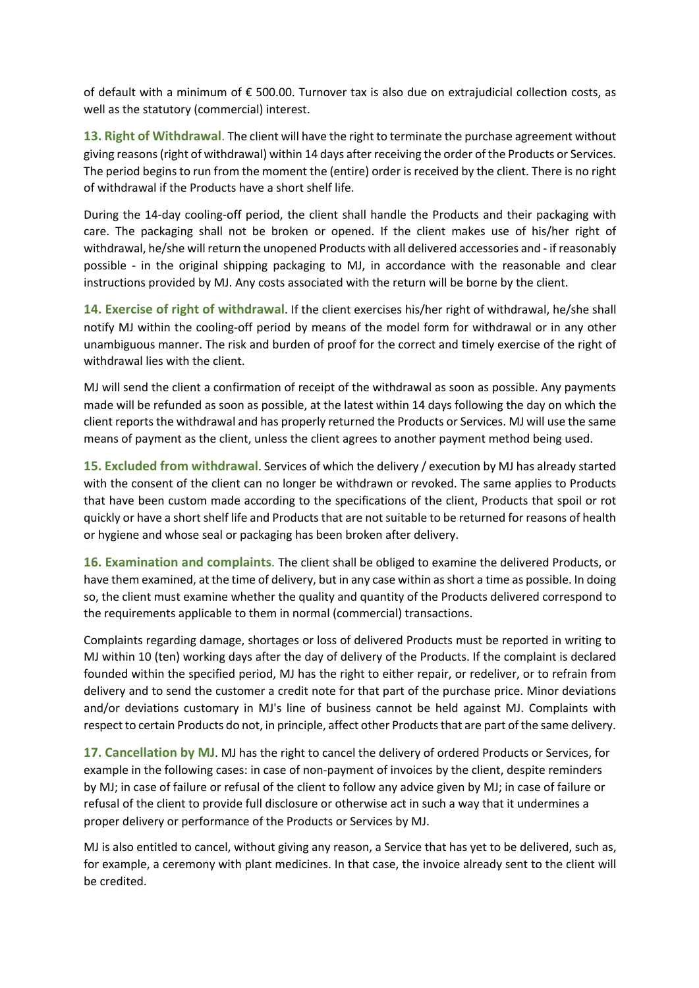of default with a minimum of € 500.00. Turnover tax is also due on extrajudicial collection costs, as well as the statutory (commercial) interest.

**13. Right of Withdrawal**. The client will have the right to terminate the purchase agreement without giving reasons (right of withdrawal) within 14 days after receiving the order of the Products or Services. The period begins to run from the moment the (entire) order is received by the client. There is no right of withdrawal if the Products have a short shelf life.

During the 14-day cooling-off period, the client shall handle the Products and their packaging with care. The packaging shall not be broken or opened. If the client makes use of his/her right of withdrawal, he/she will return the unopened Products with all delivered accessories and - if reasonably possible - in the original shipping packaging to MJ, in accordance with the reasonable and clear instructions provided by MJ. Any costs associated with the return will be borne by the client.

**14. Exercise of right of withdrawal**. If the client exercises his/her right of withdrawal, he/she shall notify MJ within the cooling-off period by means of the model form for withdrawal or in any other unambiguous manner. The risk and burden of proof for the correct and timely exercise of the right of withdrawal lies with the client.

MJ will send the client a confirmation of receipt of the withdrawal as soon as possible. Any payments made will be refunded as soon as possible, at the latest within 14 days following the day on which the client reports the withdrawal and has properly returned the Products or Services. MJ will use the same means of payment as the client, unless the client agrees to another payment method being used.

**15. Excluded from withdrawal**. Services of which the delivery / execution by MJ has already started with the consent of the client can no longer be withdrawn or revoked. The same applies to Products that have been custom made according to the specifications of the client, Products that spoil or rot quickly or have a short shelf life and Products that are not suitable to be returned for reasons of health or hygiene and whose seal or packaging has been broken after delivery.

**16. Examination and complaints**. The client shall be obliged to examine the delivered Products, or have them examined, at the time of delivery, but in any case within as short a time as possible. In doing so, the client must examine whether the quality and quantity of the Products delivered correspond to the requirements applicable to them in normal (commercial) transactions.

Complaints regarding damage, shortages or loss of delivered Products must be reported in writing to MJ within 10 (ten) working days after the day of delivery of the Products. If the complaint is declared founded within the specified period, MJ has the right to either repair, or redeliver, or to refrain from delivery and to send the customer a credit note for that part of the purchase price. Minor deviations and/or deviations customary in MJ's line of business cannot be held against MJ. Complaints with respect to certain Products do not, in principle, affect other Products that are part of the same delivery.

**17. Cancellation by MJ**. MJ has the right to cancel the delivery of ordered Products or Services, for example in the following cases: in case of non-payment of invoices by the client, despite reminders by MJ; in case of failure or refusal of the client to follow any advice given by MJ; in case of failure or refusal of the client to provide full disclosure or otherwise act in such a way that it undermines a proper delivery or performance of the Products or Services by MJ.

MJ is also entitled to cancel, without giving any reason, a Service that has yet to be delivered, such as, for example, a ceremony with plant medicines. In that case, the invoice already sent to the client will be credited.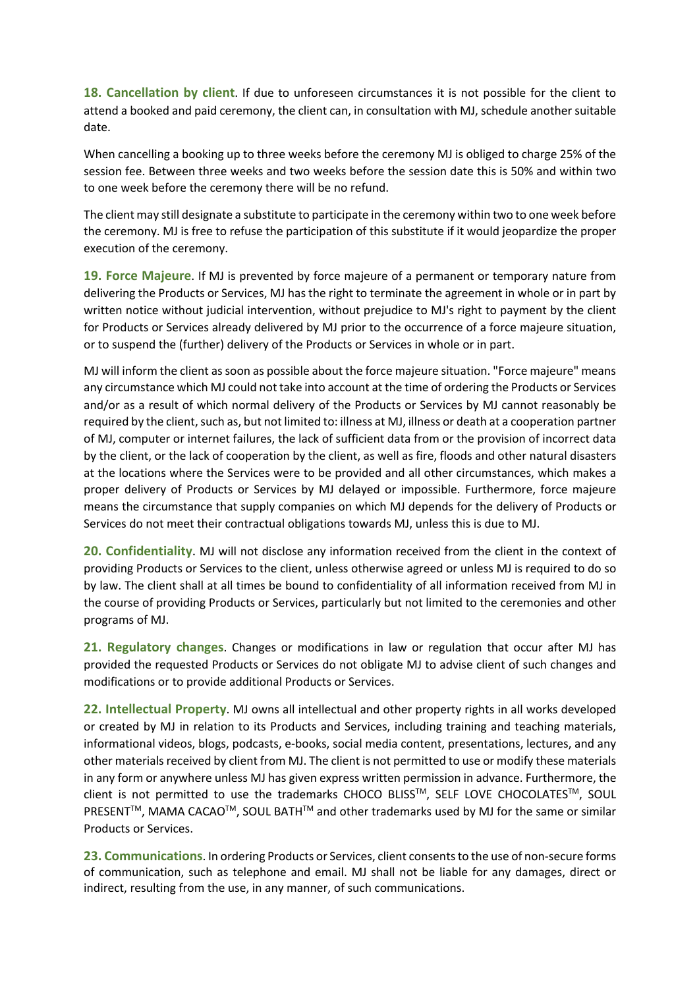**18. Cancellation by client**. If due to unforeseen circumstances it is not possible for the client to attend a booked and paid ceremony, the client can, in consultation with MJ, schedule another suitable date.

When cancelling a booking up to three weeks before the ceremony MJ is obliged to charge 25% of the session fee. Between three weeks and two weeks before the session date this is 50% and within two to one week before the ceremony there will be no refund.

The client may still designate a substitute to participate in the ceremony within two to one week before the ceremony. MJ is free to refuse the participation of this substitute if it would jeopardize the proper execution of the ceremony.

**19. Force Majeure**. If MJ is prevented by force majeure of a permanent or temporary nature from delivering the Products or Services, MJ has the right to terminate the agreement in whole or in part by written notice without judicial intervention, without prejudice to MJ's right to payment by the client for Products or Services already delivered by MJ prior to the occurrence of a force majeure situation, or to suspend the (further) delivery of the Products or Services in whole or in part.

MJ will inform the client as soon as possible about the force majeure situation. "Force majeure" means any circumstance which MJ could not take into account at the time of ordering the Products or Services and/or as a result of which normal delivery of the Products or Services by MJ cannot reasonably be required by the client, such as, but not limited to: illness at MJ, illness or death at a cooperation partner of MJ, computer or internet failures, the lack of sufficient data from or the provision of incorrect data by the client, or the lack of cooperation by the client, as well as fire, floods and other natural disasters at the locations where the Services were to be provided and all other circumstances, which makes a proper delivery of Products or Services by MJ delayed or impossible. Furthermore, force majeure means the circumstance that supply companies on which MJ depends for the delivery of Products or Services do not meet their contractual obligations towards MJ, unless this is due to MJ.

**20. Confidentiality**. MJ will not disclose any information received from the client in the context of providing Products or Services to the client, unless otherwise agreed or unless MJ is required to do so by law. The client shall at all times be bound to confidentiality of all information received from MJ in the course of providing Products or Services, particularly but not limited to the ceremonies and other programs of MJ.

**21. Regulatory changes**. Changes or modifications in law or regulation that occur after MJ has provided the requested Products or Services do not obligate MJ to advise client of such changes and modifications or to provide additional Products or Services.

**22. Intellectual Property**. MJ owns all intellectual and other property rights in all works developed or created by MJ in relation to its Products and Services, including training and teaching materials, informational videos, blogs, podcasts, e-books, social media content, presentations, lectures, and any other materials received by client from MJ. The client is not permitted to use or modify these materials in any form or anywhere unless MJ has given express written permission in advance. Furthermore, the client is not permitted to use the trademarks CHOCO BLISS™, SELF LOVE CHOCOLATES™, SOUL PRESENT<sup>™</sup>, MAMA CACAO<sup>™</sup>, SOUL BATH<sup>™</sup> and other trademarks used by MJ for the same or similar Products or Services.

**23. Communications**. In ordering Products or Services, client consents to the use of non-secure forms of communication, such as telephone and email. MJ shall not be liable for any damages, direct or indirect, resulting from the use, in any manner, of such communications.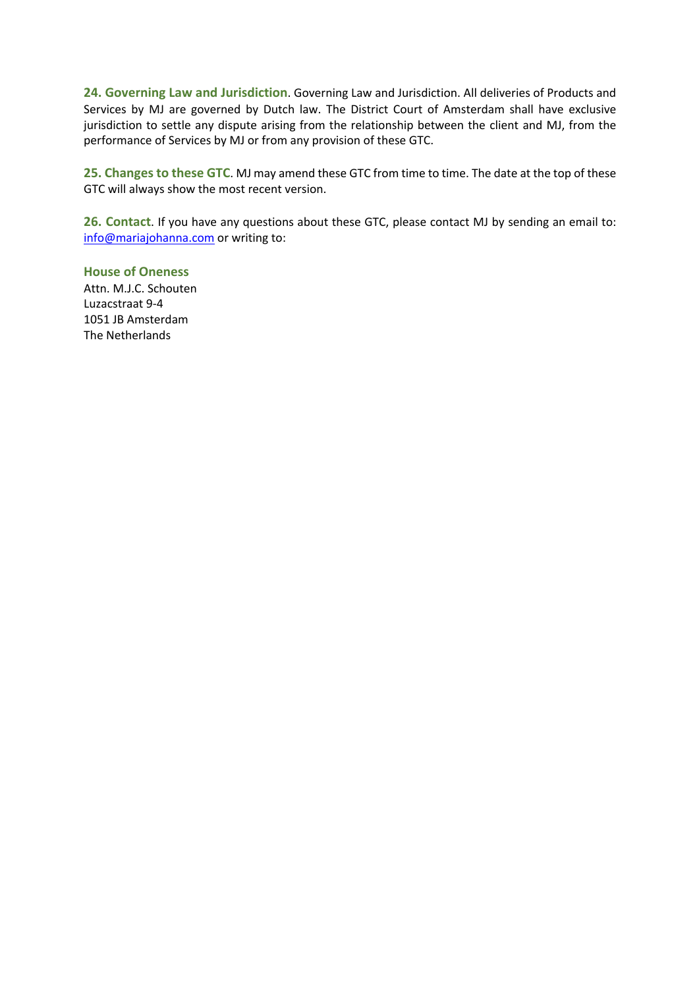**24. Governing Law and Jurisdiction**. Governing Law and Jurisdiction. All deliveries of Products and Services by MJ are governed by Dutch law. The District Court of Amsterdam shall have exclusive jurisdiction to settle any dispute arising from the relationship between the client and MJ, from the performance of Services by MJ or from any provision of these GTC.

**25. Changes to these GTC**. MJ may amend these GTC from time to time. The date at the top of these GTC will always show the most recent version.

**26. Contact**. If you have any questions about these GTC, please contact MJ by sending an email to: info@mariajohanna.com or writing to:

**House of Oneness** Attn. M.J.C. Schouten Luzacstraat 9-4 1051 JB Amsterdam The Netherlands